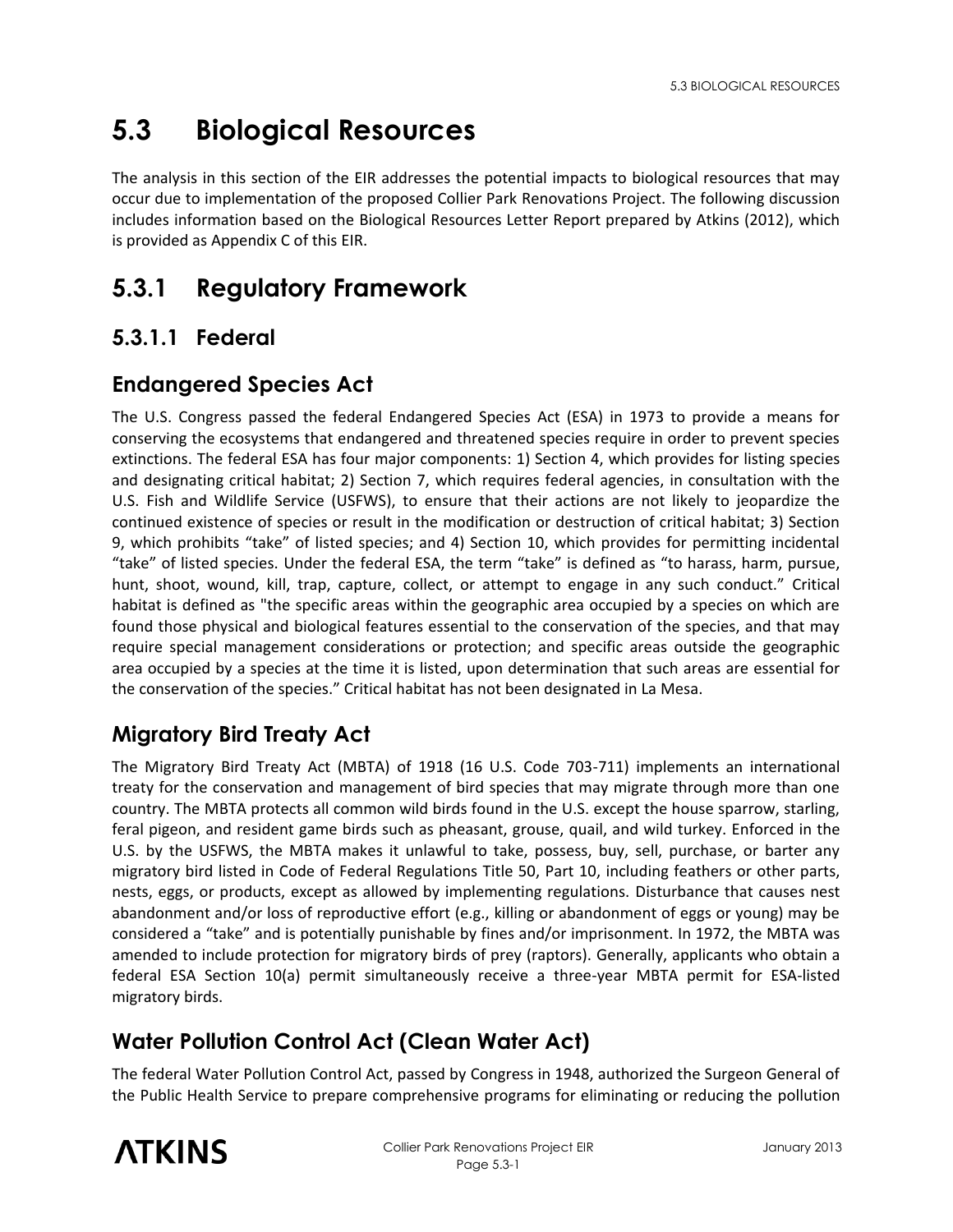# **5.3 Biological Resources**

The analysis in this section of the EIR addresses the potential impacts to biological resources that may occur due to implementation of the proposed Collier Park Renovations Project. The following discussion includes information based on the Biological Resources Letter Report prepared by Atkins (2012), which is provided as Appendix C of this EIR.

## **5.3.1 Regulatory Framework**

## **5.3.1.1 Federal**

## **Endangered Species Act**

The U.S. Congress passed the federal Endangered Species Act (ESA) in 1973 to provide a means for conserving the ecosystems that endangered and threatened species require in order to prevent species extinctions. The federal ESA has four major components: 1) Section 4, which provides for listing species and designating critical habitat; 2) Section 7, which requires federal agencies, in consultation with the U.S. Fish and Wildlife Service (USFWS), to ensure that their actions are not likely to jeopardize the continued existence of species or result in the modification or destruction of critical habitat; 3) Section 9, which prohibits "take" of listed species; and 4) Section 10, which provides for permitting incidental "take" of listed species. Under the federal ESA, the term "take" is defined as "to harass, harm, pursue, hunt, shoot, wound, kill, trap, capture, collect, or attempt to engage in any such conduct." Critical habitat is defined as "the specific areas within the geographic area occupied by a species on which are found those physical and biological features essential to the conservation of the species, and that may require special management considerations or protection; and specific areas outside the geographic area occupied by a species at the time it is listed, upon determination that such areas are essential for the conservation of the species." Critical habitat has not been designated in La Mesa.

## **Migratory Bird Treaty Act**

The Migratory Bird Treaty Act (MBTA) of 1918 (16 U.S. Code 703-711) implements an international treaty for the conservation and management of bird species that may migrate through more than one country. The MBTA protects all common wild birds found in the U.S. except the house sparrow, starling, feral pigeon, and resident game birds such as pheasant, grouse, quail, and wild turkey. Enforced in the U.S. by the USFWS, the MBTA makes it unlawful to take, possess, buy, sell, purchase, or barter any migratory bird listed in Code of Federal Regulations Title 50, Part 10, including feathers or other parts, nests, eggs, or products, except as allowed by implementing regulations. Disturbance that causes nest abandonment and/or loss of reproductive effort (e.g., killing or abandonment of eggs or young) may be considered a "take" and is potentially punishable by fines and/or imprisonment. In 1972, the MBTA was amended to include protection for migratory birds of prey (raptors). Generally, applicants who obtain a federal ESA Section 10(a) permit simultaneously receive a three-year MBTA permit for ESA-listed migratory birds.

## **Water Pollution Control Act (Clean Water Act)**

The federal Water Pollution Control Act, passed by Congress in 1948, authorized the Surgeon General of the Public Health Service to prepare comprehensive programs for eliminating or reducing the pollution

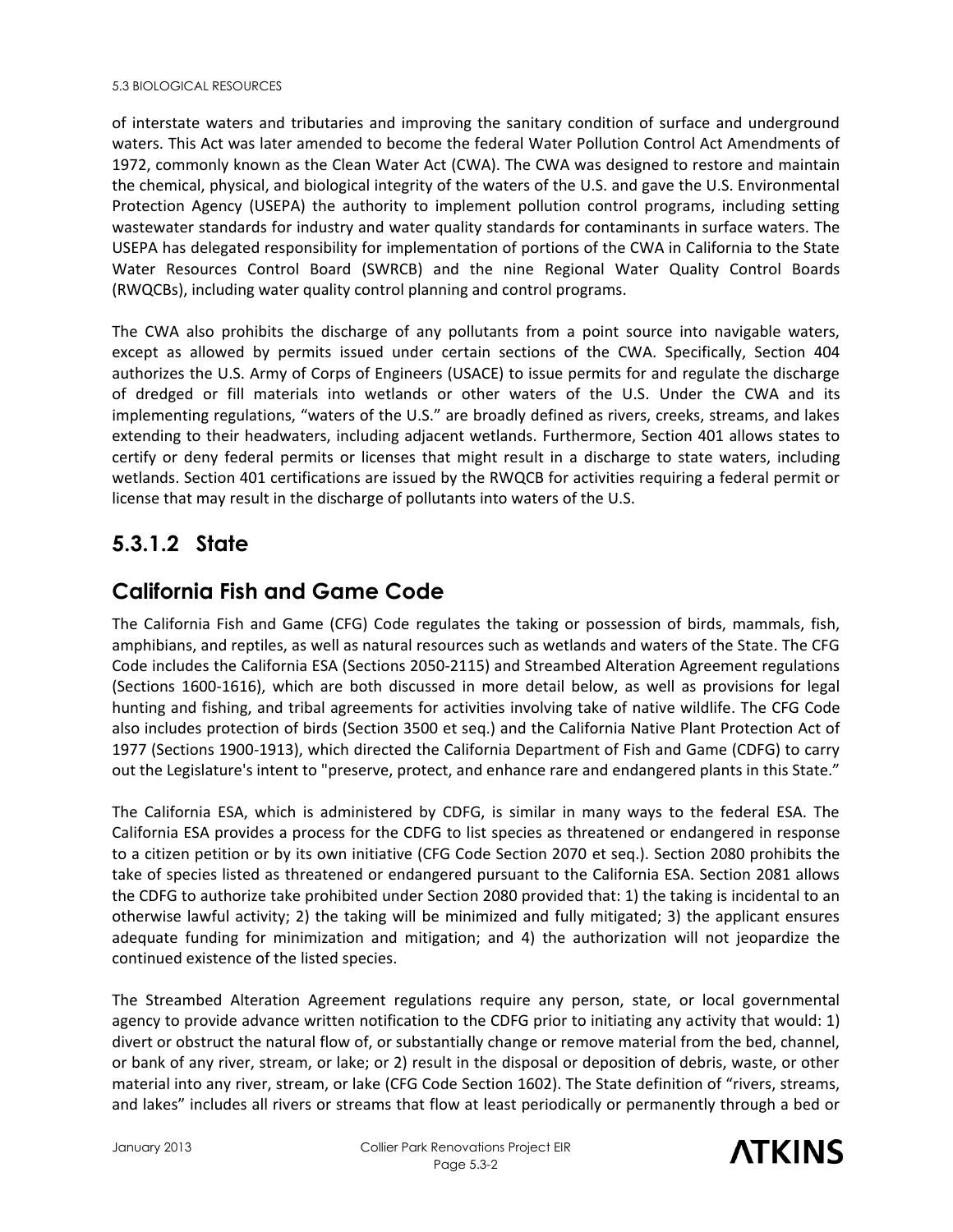#### 5.3 BIOLOGICAL RESOURCES

of interstate waters and tributaries and improving the sanitary condition of surface and underground waters. This Act was later amended to become the federal Water Pollution Control Act Amendments of 1972, commonly known as the Clean Water Act (CWA). The CWA was designed to restore and maintain the chemical, physical, and biological integrity of the waters of the U.S. and gave the U.S. Environmental Protection Agency (USEPA) the authority to implement pollution control programs, including setting wastewater standards for industry and water quality standards for contaminants in surface waters. The USEPA has delegated responsibility for implementation of portions of the CWA in California to the State Water Resources Control Board (SWRCB) and the nine Regional Water Quality Control Boards (RWQCBs), including water quality control planning and control programs.

The CWA also prohibits the discharge of any pollutants from a point source into navigable waters, except as allowed by permits issued under certain sections of the CWA. Specifically, Section 404 authorizes the U.S. Army of Corps of Engineers (USACE) to issue permits for and regulate the discharge of dredged or fill materials into wetlands or other waters of the U.S. Under the CWA and its implementing regulations, "waters of the U.S." are broadly defined as rivers, creeks, streams, and lakes extending to their headwaters, including adjacent wetlands. Furthermore, Section 401 allows states to certify or deny federal permits or licenses that might result in a discharge to state waters, including wetlands. Section 401 certifications are issued by the RWQCB for activities requiring a federal permit or license that may result in the discharge of pollutants into waters of the U.S.

## **5.3.1.2 State**

## **California Fish and Game Code**

The California Fish and Game (CFG) Code regulates the taking or possession of birds, mammals, fish, amphibians, and reptiles, as well as natural resources such as wetlands and waters of the State. The CFG Code includes the California ESA (Sections 2050-2115) and Streambed Alteration Agreement regulations (Sections 1600-1616), which are both discussed in more detail below, as well as provisions for legal hunting and fishing, and tribal agreements for activities involving take of native wildlife. The CFG Code also includes protection of birds (Section 3500 et seq.) and the California Native Plant Protection Act of 1977 (Sections 1900-1913), which directed the California Department of Fish and Game (CDFG) to carry out the Legislature's intent to "preserve, protect, and enhance rare and endangered plants in this State."

The California ESA, which is administered by CDFG, is similar in many ways to the federal ESA. The California ESA provides a process for the CDFG to list species as threatened or endangered in response to a citizen petition or by its own initiative (CFG Code Section 2070 et seq.). Section 2080 prohibits the take of species listed as threatened or endangered pursuant to the California ESA. Section 2081 allows the CDFG to authorize take prohibited under Section 2080 provided that: 1) the taking is incidental to an otherwise lawful activity; 2) the taking will be minimized and fully mitigated; 3) the applicant ensures adequate funding for minimization and mitigation; and 4) the authorization will not jeopardize the continued existence of the listed species.

The Streambed Alteration Agreement regulations require any person, state, or local governmental agency to provide advance written notification to the CDFG prior to initiating any activity that would: 1) divert or obstruct the natural flow of, or substantially change or remove material from the bed, channel, or bank of any river, stream, or lake; or 2) result in the disposal or deposition of debris, waste, or other material into any river, stream, or lake (CFG Code Section 1602). The State definition of "rivers, streams, and lakes" includes all rivers or streams that flow at least periodically or permanently through a bed or

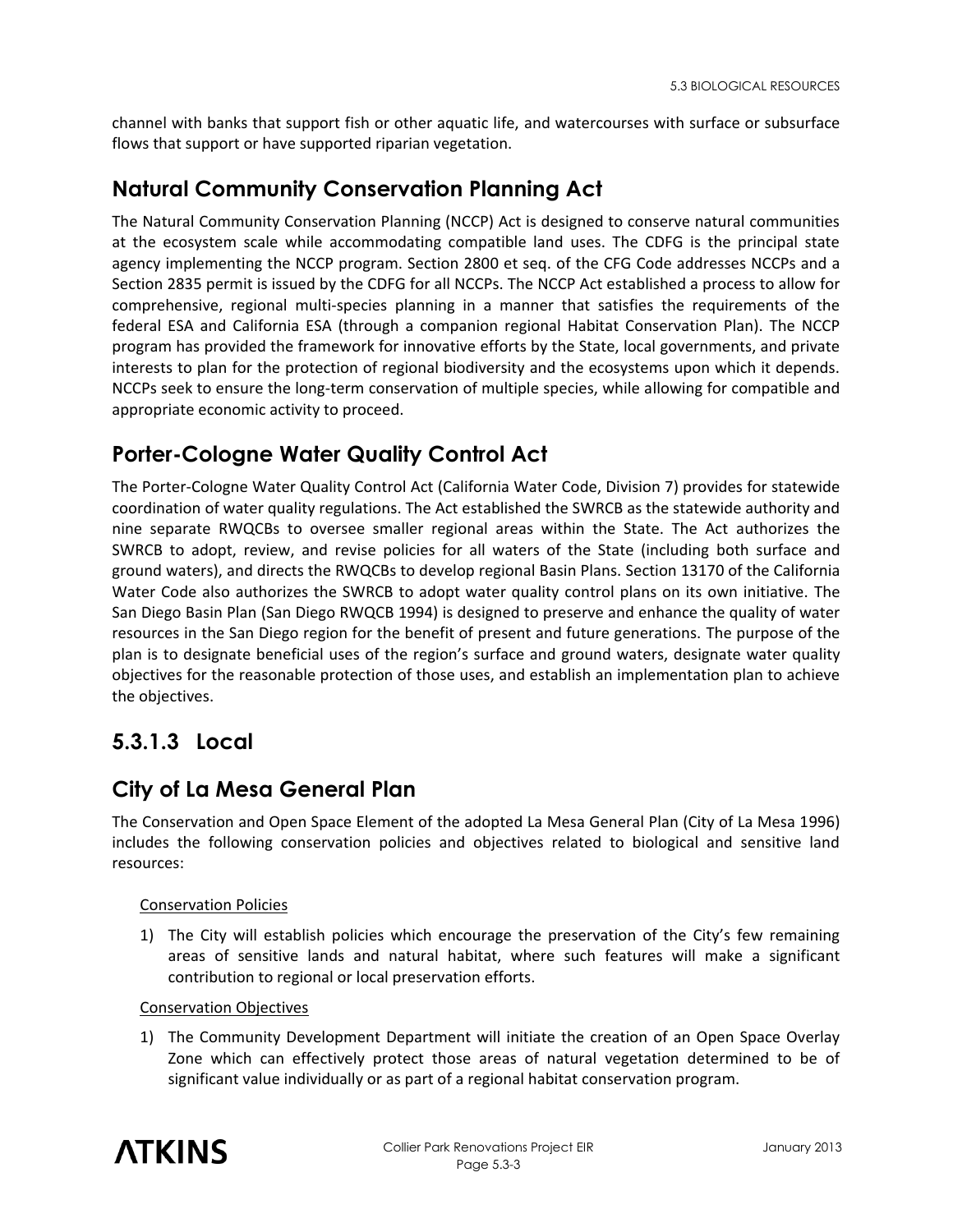channel with banks that support fish or other aquatic life, and watercourses with surface or subsurface flows that support or have supported riparian vegetation.

## **Natural Community Conservation Planning Act**

The Natural Community Conservation Planning (NCCP) Act is designed to conserve natural communities at the ecosystem scale while accommodating compatible land uses. The CDFG is the principal state agency implementing the NCCP program. Section 2800 et seq. of the CFG Code addresses NCCPs and a Section 2835 permit is issued by the CDFG for all NCCPs. The NCCP Act established a process to allow for comprehensive, regional multi-species planning in a manner that satisfies the requirements of the federal ESA and California ESA (through a companion regional Habitat Conservation Plan). The NCCP program has provided the framework for innovative efforts by the State, local governments, and private interests to plan for the protection of regional biodiversity and the ecosystems upon which it depends. NCCPs seek to ensure the long-term conservation of multiple species, while allowing for compatible and appropriate economic activity to proceed.

## **Porter-Cologne Water Quality Control Act**

The Porter-Cologne Water Quality Control Act (California Water Code, Division 7) provides for statewide coordination of water quality regulations. The Act established the SWRCB as the statewide authority and nine separate RWQCBs to oversee smaller regional areas within the State. The Act authorizes the SWRCB to adopt, review, and revise policies for all waters of the State (including both surface and ground waters), and directs the RWQCBs to develop regional Basin Plans. Section 13170 of the California Water Code also authorizes the SWRCB to adopt water quality control plans on its own initiative. The San Diego Basin Plan (San Diego RWQCB 1994) is designed to preserve and enhance the quality of water resources in the San Diego region for the benefit of present and future generations. The purpose of the plan is to designate beneficial uses of the region's surface and ground waters, designate water quality objectives for the reasonable protection of those uses, and establish an implementation plan to achieve the objectives.

## **5.3.1.3 Local**

## **City of La Mesa General Plan**

The Conservation and Open Space Element of the adopted La Mesa General Plan (City of La Mesa 1996) includes the following conservation policies and objectives related to biological and sensitive land resources:

### Conservation Policies

1) The City will establish policies which encourage the preservation of the City's few remaining areas of sensitive lands and natural habitat, where such features will make a significant contribution to regional or local preservation efforts.

#### Conservation Objectives

1) The Community Development Department will initiate the creation of an Open Space Overlay Zone which can effectively protect those areas of natural vegetation determined to be of significant value individually or as part of a regional habitat conservation program.

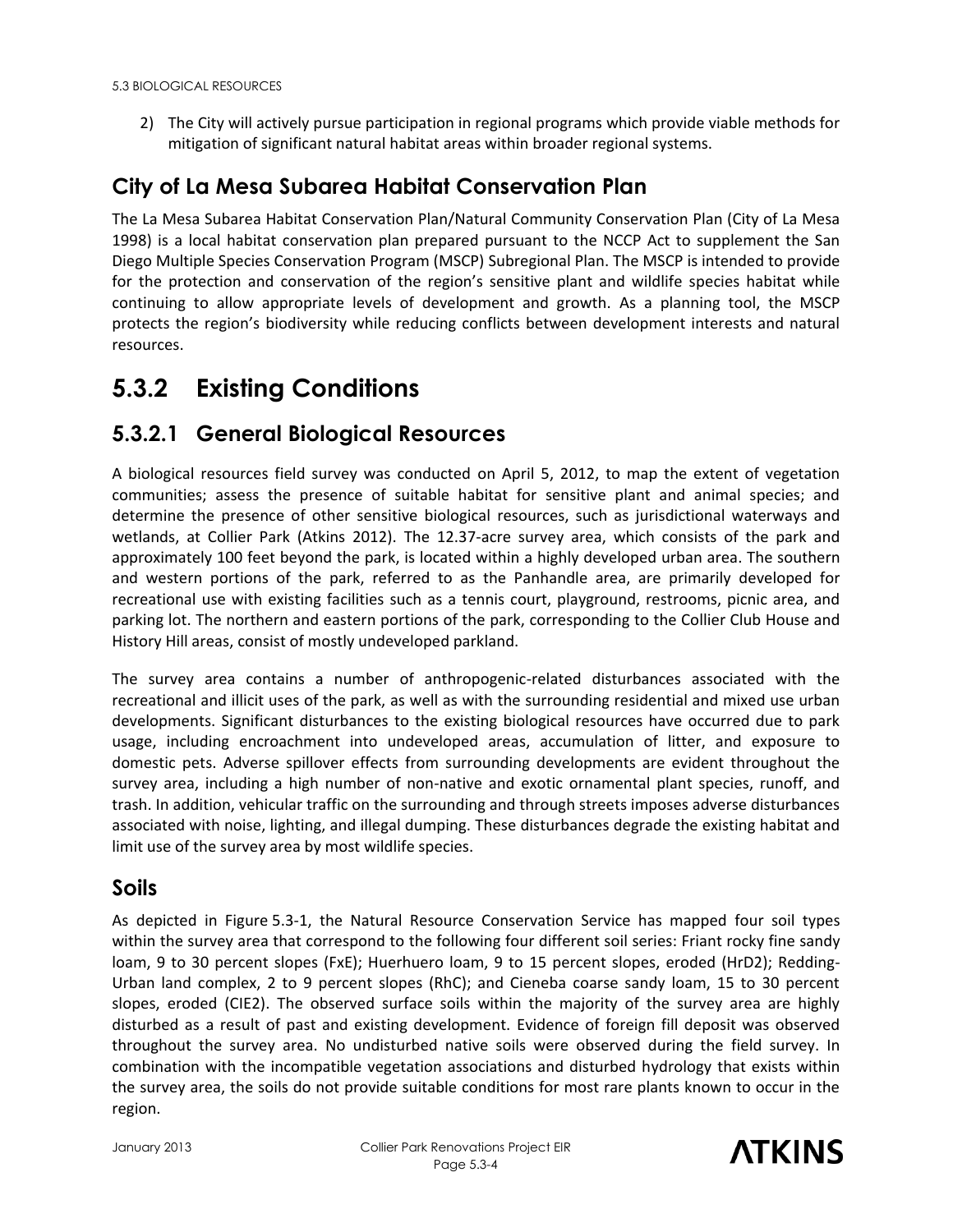2) The City will actively pursue participation in regional programs which provide viable methods for mitigation of significant natural habitat areas within broader regional systems.

## **City of La Mesa Subarea Habitat Conservation Plan**

The La Mesa Subarea Habitat Conservation Plan/Natural Community Conservation Plan (City of La Mesa 1998) is a local habitat conservation plan prepared pursuant to the NCCP Act to supplement the San Diego Multiple Species Conservation Program (MSCP) Subregional Plan. The MSCP is intended to provide for the protection and conservation of the region's sensitive plant and wildlife species habitat while continuing to allow appropriate levels of development and growth. As a planning tool, the MSCP protects the region's biodiversity while reducing conflicts between development interests and natural resources.

## **5.3.2 Existing Conditions**

## **5.3.2.1 General Biological Resources**

A biological resources field survey was conducted on April 5, 2012, to map the extent of vegetation communities; assess the presence of suitable habitat for sensitive plant and animal species; and determine the presence of other sensitive biological resources, such as jurisdictional waterways and wetlands, at Collier Park (Atkins 2012). The 12.37-acre survey area, which consists of the park and approximately 100 feet beyond the park, is located within a highly developed urban area. The southern and western portions of the park, referred to as the Panhandle area, are primarily developed for recreational use with existing facilities such as a tennis court, playground, restrooms, picnic area, and parking lot. The northern and eastern portions of the park, corresponding to the Collier Club House and History Hill areas, consist of mostly undeveloped parkland.

The survey area contains a number of anthropogenic-related disturbances associated with the recreational and illicit uses of the park, as well as with the surrounding residential and mixed use urban developments. Significant disturbances to the existing biological resources have occurred due to park usage, including encroachment into undeveloped areas, accumulation of litter, and exposure to domestic pets. Adverse spillover effects from surrounding developments are evident throughout the survey area, including a high number of non-native and exotic ornamental plant species, runoff, and trash. In addition, vehicular traffic on the surrounding and through streets imposes adverse disturbances associated with noise, lighting, and illegal dumping. These disturbances degrade the existing habitat and limit use of the survey area by most wildlife species.

### **Soils**

As depicted in Figure 5.3-1, the Natural Resource Conservation Service has mapped four soil types within the survey area that correspond to the following four different soil series: Friant rocky fine sandy loam, 9 to 30 percent slopes (FxE); Huerhuero loam, 9 to 15 percent slopes, eroded (HrD2); Redding-Urban land complex, 2 to 9 percent slopes (RhC); and Cieneba coarse sandy loam, 15 to 30 percent slopes, eroded (CIE2). The observed surface soils within the majority of the survey area are highly disturbed as a result of past and existing development. Evidence of foreign fill deposit was observed throughout the survey area. No undisturbed native soils were observed during the field survey. In combination with the incompatible vegetation associations and disturbed hydrology that exists within the survey area, the soils do not provide suitable conditions for most rare plants known to occur in the region.

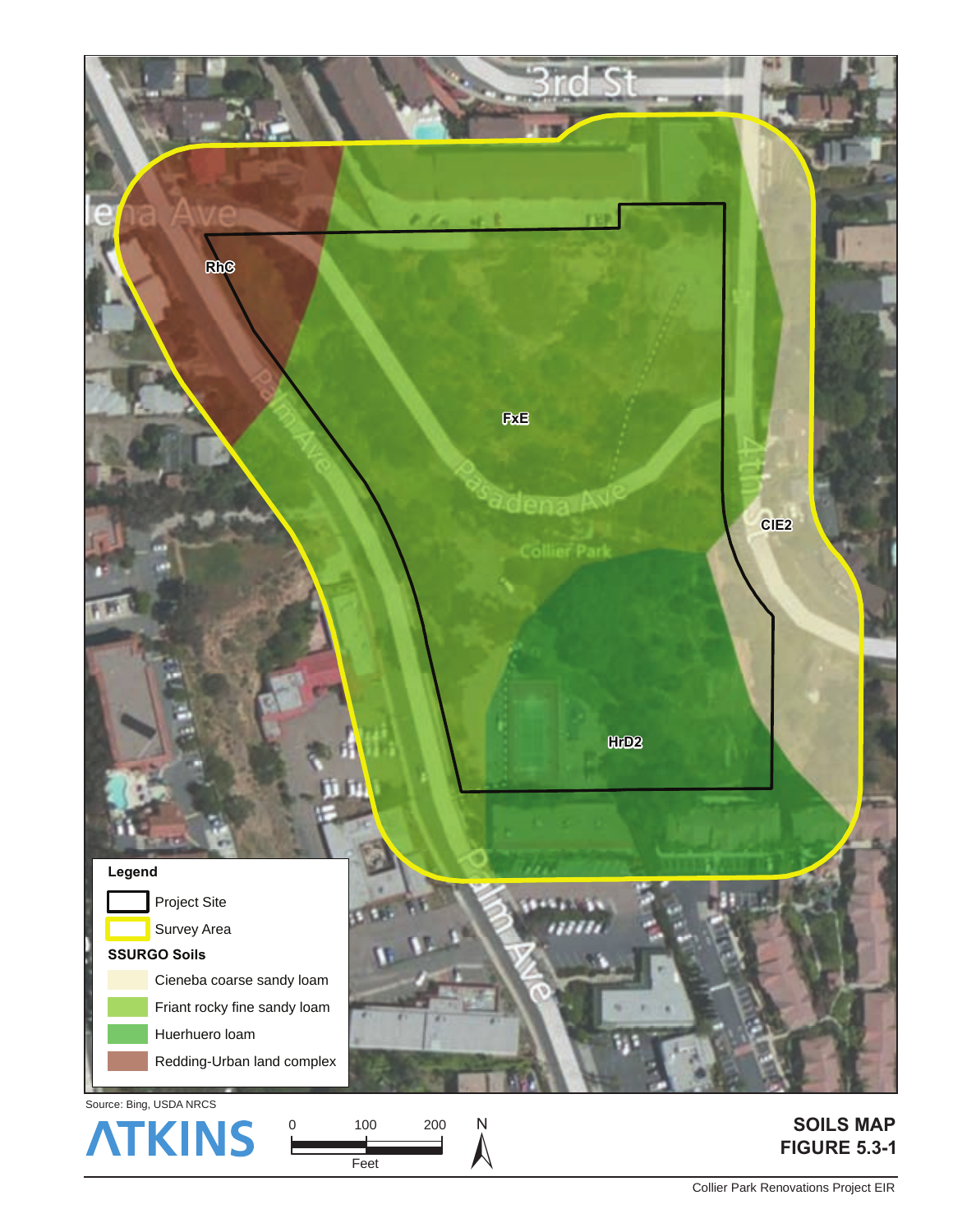

Source: Bing, USDA NRCS

100 Feet 200  $\overline{N}$ 

### **SOILS MAP FIGURE 5.3-1**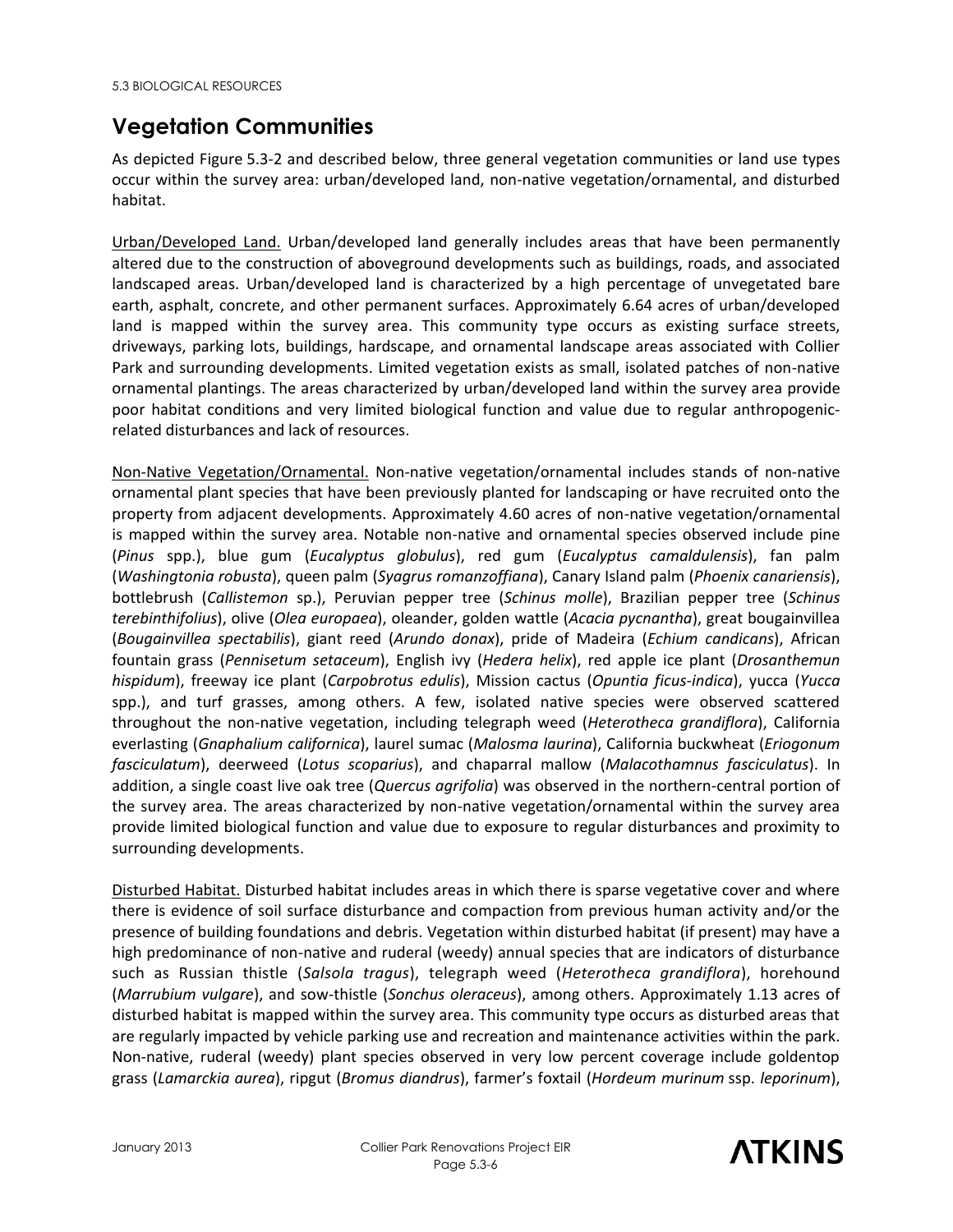## **Vegetation Communities**

As depicted Figure 5.3-2 and described below, three general vegetation communities or land use types occur within the survey area: urban/developed land, non-native vegetation/ornamental, and disturbed habitat.

Urban/Developed Land. Urban/developed land generally includes areas that have been permanently altered due to the construction of aboveground developments such as buildings, roads, and associated landscaped areas. Urban/developed land is characterized by a high percentage of unvegetated bare earth, asphalt, concrete, and other permanent surfaces. Approximately 6.64 acres of urban/developed land is mapped within the survey area. This community type occurs as existing surface streets, driveways, parking lots, buildings, hardscape, and ornamental landscape areas associated with Collier Park and surrounding developments. Limited vegetation exists as small, isolated patches of non-native ornamental plantings. The areas characterized by urban/developed land within the survey area provide poor habitat conditions and very limited biological function and value due to regular anthropogenicrelated disturbances and lack of resources.

Non-Native Vegetation/Ornamental. Non-native vegetation/ornamental includes stands of non-native ornamental plant species that have been previously planted for landscaping or have recruited onto the property from adjacent developments. Approximately 4.60 acres of non-native vegetation/ornamental is mapped within the survey area. Notable non-native and ornamental species observed include pine (*Pinus* spp.), blue gum (*Eucalyptus globulus*), red gum (*Eucalyptus camaldulensis*), fan palm (*Washingtonia robusta*), queen palm (*[Syagrus romanzoffiana](http://www.calflora.org/cgi-bin/species_query.cgi?where-calrecnum=10704)*), Canary Island palm (*Phoenix canariensis*), bottlebrush (*Callistemon* sp.), Peruvian pepper tree (*Schinus molle*), Brazilian pepper tree (*Schinus terebinthifolius*), olive (*Olea europaea*), oleander, golden wattle (*Acacia pycnantha*), great bougainvillea (*Bougainvillea spectabilis*), giant reed (*Arundo donax*), pride of Madeira (*Echium candicans*), African fountain grass (*Pennisetum setaceum*), English ivy (*Hedera helix*), red apple ice plant (*Drosanthemun hispidum*), freeway ice plant (*Carpobrotus edulis*), Mission cactus (*Opuntia ficus-indica*), yucca (*Yucca* spp.), and turf grasses, among others. A few, isolated native species were observed scattered throughout the non-native vegetation, including telegraph weed (*Heterotheca grandiflora*), California everlasting (*Gnaphalium californica*), laurel sumac (*Malosma laurina*), California buckwheat (*Eriogonum fasciculatum*), deerweed (*Lotus scoparius*), and chaparral mallow (*Malacothamnus fasciculatus*). In addition, a single coast live oak tree (*Quercus agrifolia*) was observed in the northern-central portion of the survey area. The areas characterized by non-native vegetation/ornamental within the survey area provide limited biological function and value due to exposure to regular disturbances and proximity to surrounding developments.

Disturbed Habitat. Disturbed habitat includes areas in which there is sparse vegetative cover and where there is evidence of soil surface disturbance and compaction from previous human activity and/or the presence of building foundations and debris. Vegetation within disturbed habitat (if present) may have a high predominance of non-native and ruderal (weedy) annual species that are indicators of disturbance such as Russian thistle (*Salsola tragus*), telegraph weed (*Heterotheca grandiflora*), horehound (*Marrubium vulgare*), and sow-thistle (*Sonchus oleraceus*), among others. Approximately 1.13 acres of disturbed habitat is mapped within the survey area. This community type occurs as disturbed areas that are regularly impacted by vehicle parking use and recreation and maintenance activities within the park. Non-native, ruderal (weedy) plant species observed in very low percent coverage include goldentop grass (*Lamarckia aurea*), ripgut (*Bromus diandrus*), farmer's foxtail (*Hordeum murinum* ssp. *leporinum*),

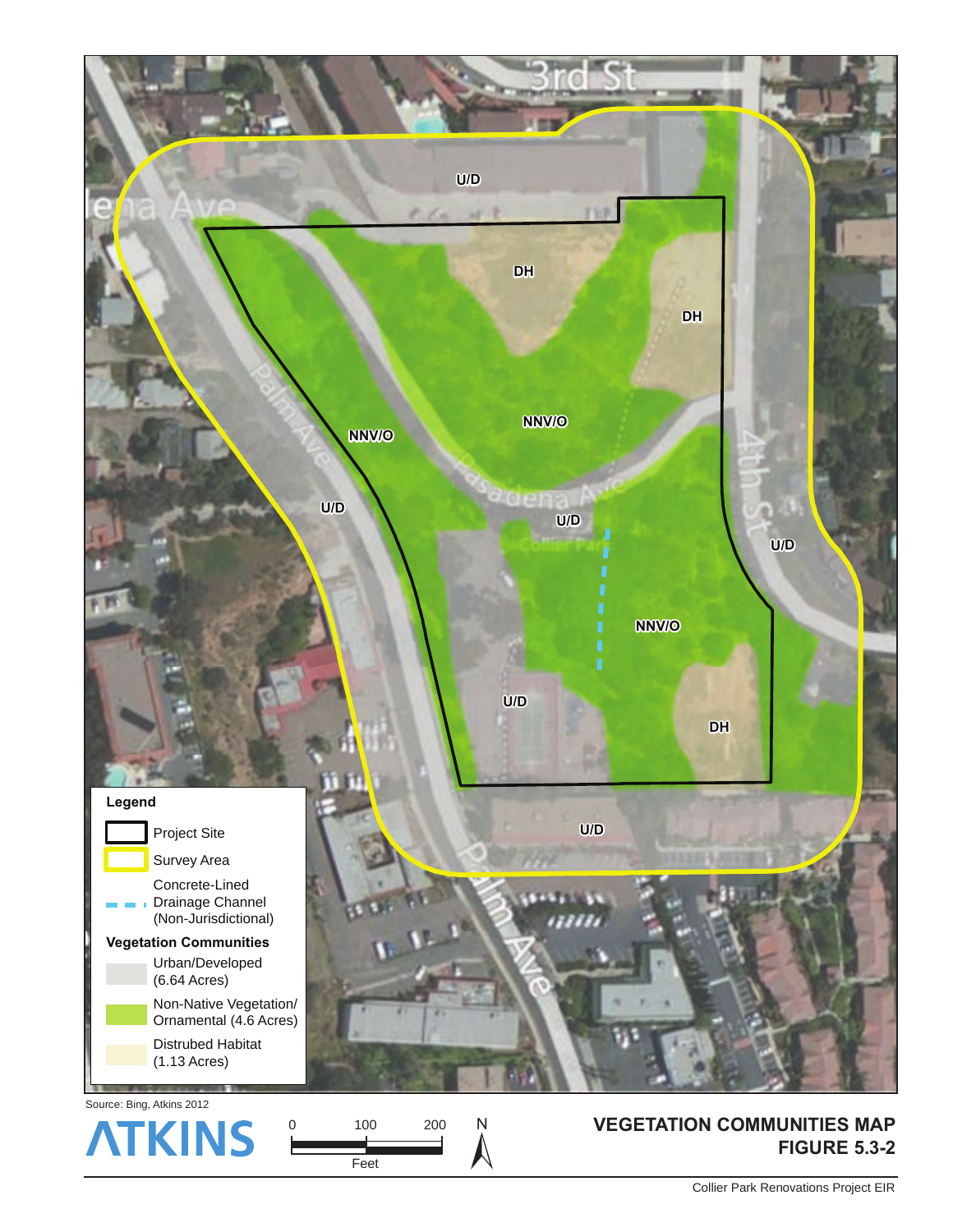

Collier Park Renovations Project EIR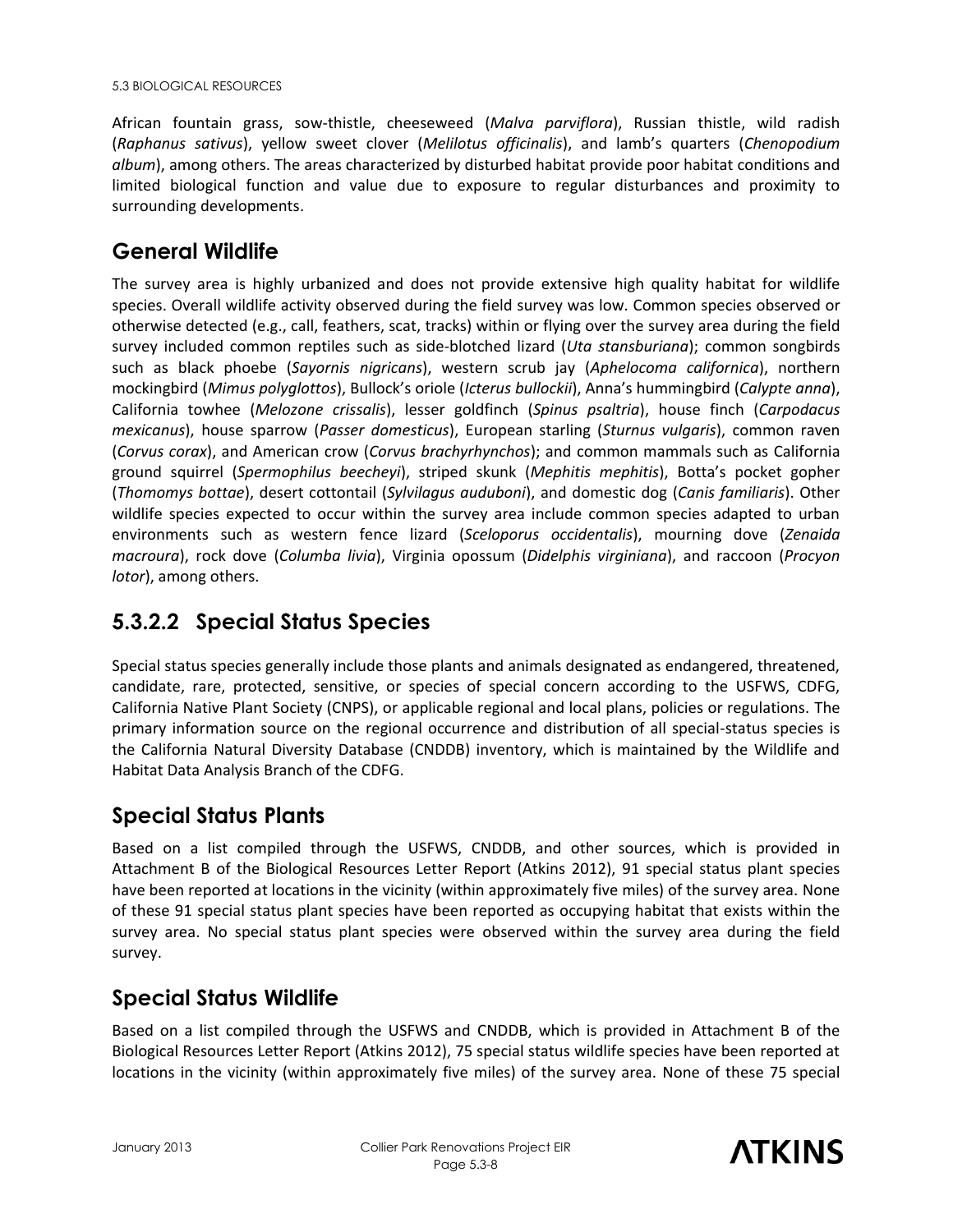African fountain grass, sow-thistle, cheeseweed (*Malva parviflora*), Russian thistle, wild radish (*Raphanus sativus*), yellow sweet clover (*Melilotus officinalis*), and lamb's quarters (*Chenopodium album*), among others. The areas characterized by disturbed habitat provide poor habitat conditions and limited biological function and value due to exposure to regular disturbances and proximity to surrounding developments.

## **General Wildlife**

The survey area is highly urbanized and does not provide extensive high quality habitat for wildlife species. Overall wildlife activity observed during the field survey was low. Common species observed or otherwise detected (e.g., call, feathers, scat, tracks) within or flying over the survey area during the field survey included common reptiles such as side-blotched lizard (*Uta stansburiana*); common songbirds such as black phoebe (*Sayornis nigricans*), western scrub jay (*Aphelocoma californica*), northern mockingbird (*Mimus polyglottos*), Bullock's oriole (*Icterus bullockii*), Anna's hummingbird (*Calypte anna*), California towhee (*Melozone crissalis*), lesser goldfinch (*Spinus psaltria*), house finch (*Carpodacus mexicanus*), house sparrow (*Passer domesticus*), European starling (*Sturnus vulgaris*), common raven (*Corvus corax*), and American crow (*Corvus brachyrhynchos*); and common mammals such as California ground squirrel (*Spermophilus beecheyi*), striped skunk (*Mephitis mephitis*), Botta's pocket gopher (*Thomomys bottae*), desert cottontail (*Sylvilagus auduboni*), and domestic dog (*Canis familiaris*). Other wildlife species expected to occur within the survey area include common species adapted to urban environments such as western fence lizard (*Sceloporus occidentalis*), mourning dove (*Zenaida macroura*), rock dove (*Columba livia*), Virginia opossum (*Didelphis virginiana*), and raccoon (*Procyon lotor*), among others.

## **5.3.2.2 Special Status Species**

Special status species generally include those plants and animals designated as endangered, threatened, candidate, rare, protected, sensitive, or species of special concern according to the USFWS, CDFG, California Native Plant Society (CNPS), or applicable regional and local plans, policies or regulations. The primary information source on the regional occurrence and distribution of all special-status species is the California Natural Diversity Database (CNDDB) inventory, which is maintained by the Wildlife and Habitat Data Analysis Branch of the CDFG.

## **Special Status Plants**

Based on a list compiled through the USFWS, CNDDB, and other sources, which is provided in Attachment B of the Biological Resources Letter Report (Atkins 2012), 91 special status plant species have been reported at locations in the vicinity (within approximately five miles) of the survey area. None of these 91 special status plant species have been reported as occupying habitat that exists within the survey area. No special status plant species were observed within the survey area during the field survey.

## **Special Status Wildlife**

Based on a list compiled through the USFWS and CNDDB, which is provided in Attachment B of the Biological Resources Letter Report (Atkins 2012), 75 special status wildlife species have been reported at locations in the vicinity (within approximately five miles) of the survey area. None of these 75 special

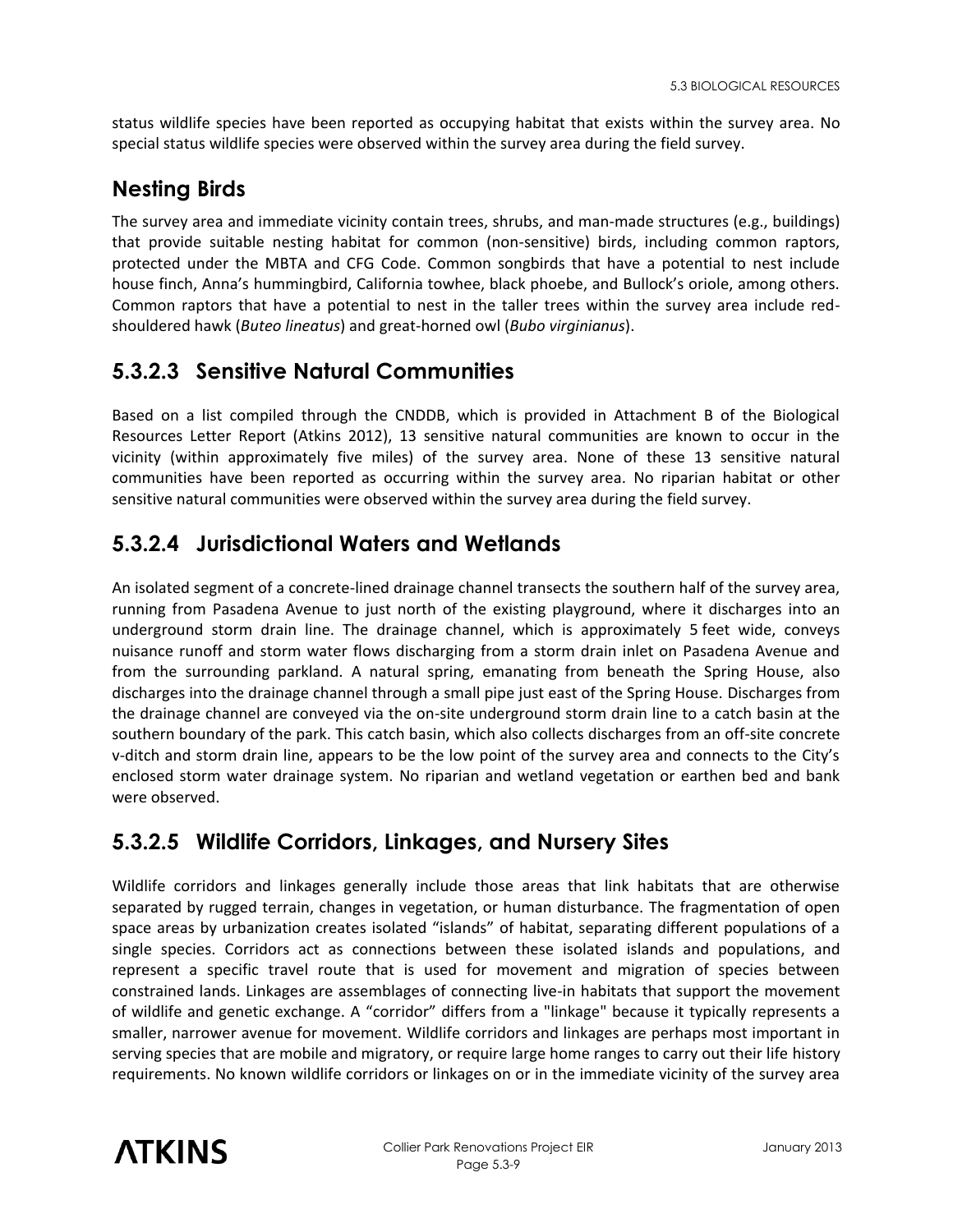status wildlife species have been reported as occupying habitat that exists within the survey area. No special status wildlife species were observed within the survey area during the field survey.

## **Nesting Birds**

The survey area and immediate vicinity contain trees, shrubs, and man-made structures (e.g., buildings) that provide suitable nesting habitat for common (non-sensitive) birds, including common raptors, protected under the MBTA and CFG Code. Common songbirds that have a potential to nest include house finch, Anna's hummingbird, California towhee, black phoebe, and Bullock's oriole, among others. Common raptors that have a potential to nest in the taller trees within the survey area include redshouldered hawk (*Buteo lineatus*) and great-horned owl (*Bubo virginianus*).

## **5.3.2.3 Sensitive Natural Communities**

Based on a list compiled through the CNDDB, which is provided in Attachment B of the Biological Resources Letter Report (Atkins 2012), 13 sensitive natural communities are known to occur in the vicinity (within approximately five miles) of the survey area. None of these 13 sensitive natural communities have been reported as occurring within the survey area. No riparian habitat or other sensitive natural communities were observed within the survey area during the field survey.

## **5.3.2.4 Jurisdictional Waters and Wetlands**

An isolated segment of a concrete-lined drainage channel transects the southern half of the survey area, running from Pasadena Avenue to just north of the existing playground, where it discharges into an underground storm drain line. The drainage channel, which is approximately 5 feet wide, conveys nuisance runoff and storm water flows discharging from a storm drain inlet on Pasadena Avenue and from the surrounding parkland. A natural spring, emanating from beneath the Spring House, also discharges into the drainage channel through a small pipe just east of the Spring House. Discharges from the drainage channel are conveyed via the on-site underground storm drain line to a catch basin at the southern boundary of the park. This catch basin, which also collects discharges from an off-site concrete v-ditch and storm drain line, appears to be the low point of the survey area and connects to the City's enclosed storm water drainage system. No riparian and wetland vegetation or earthen bed and bank were observed.

## **5.3.2.5 Wildlife Corridors, Linkages, and Nursery Sites**

Wildlife corridors and linkages generally include those areas that link habitats that are otherwise separated by rugged terrain, changes in vegetation, or human disturbance. The fragmentation of open space areas by urbanization creates isolated "islands" of habitat, separating different populations of a single species. Corridors act as connections between these isolated islands and populations, and represent a specific travel route that is used for movement and migration of species between constrained lands. Linkages are assemblages of connecting live-in habitats that support the movement of wildlife and genetic exchange. A "corridor" differs from a "linkage" because it typically represents a smaller, narrower avenue for movement. Wildlife corridors and linkages are perhaps most important in serving species that are mobile and migratory, or require large home ranges to carry out their life history requirements. No known wildlife corridors or linkages on or in the immediate vicinity of the survey area

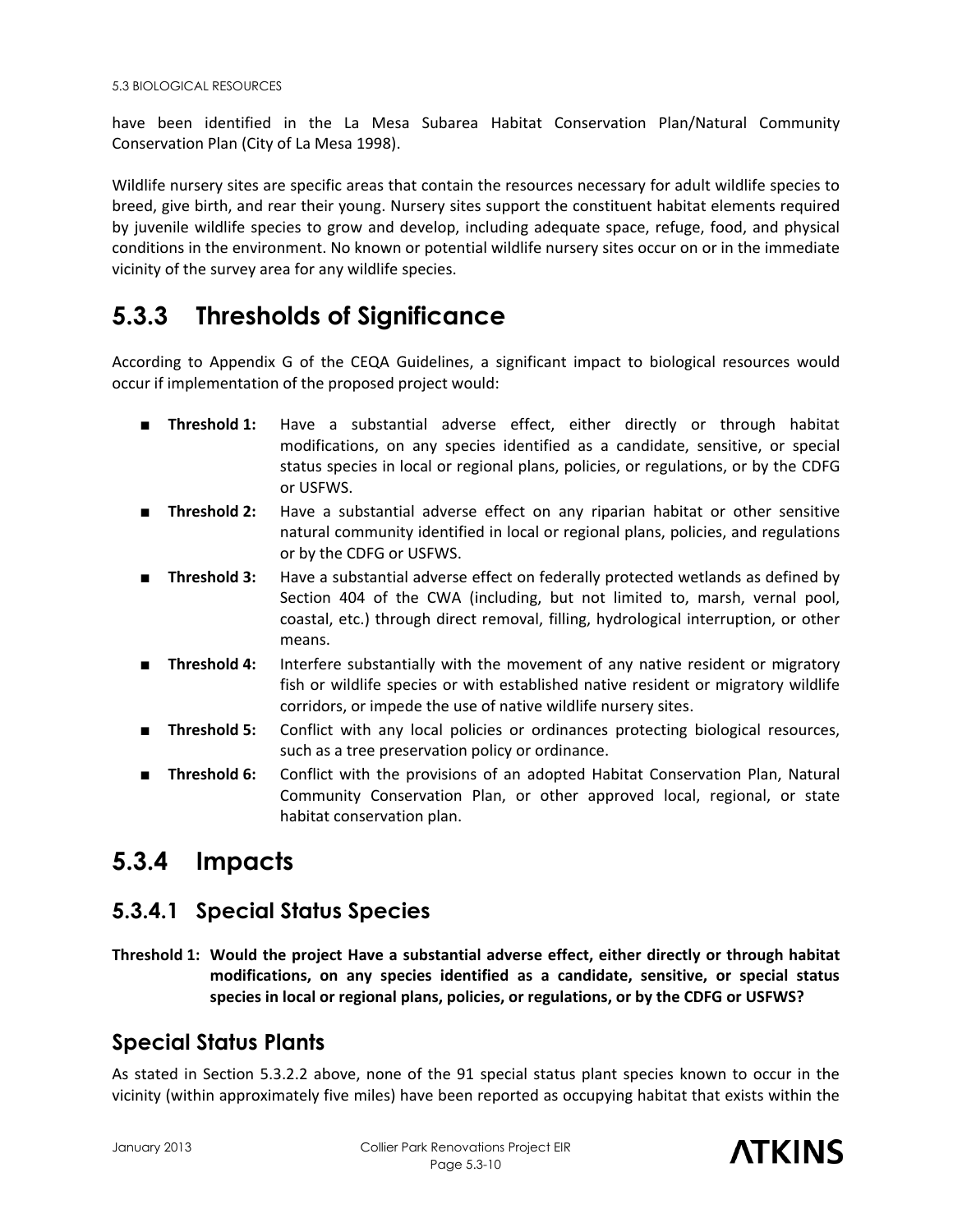have been identified in the La Mesa Subarea Habitat Conservation Plan/Natural Community Conservation Plan (City of La Mesa 1998).

Wildlife nursery sites are specific areas that contain the resources necessary for adult wildlife species to breed, give birth, and rear their young. Nursery sites support the constituent habitat elements required by juvenile wildlife species to grow and develop, including adequate space, refuge, food, and physical conditions in the environment. No known or potential wildlife nursery sites occur on or in the immediate vicinity of the survey area for any wildlife species.

## **5.3.3 Thresholds of Significance**

According to Appendix G of the CEQA Guidelines, a significant impact to biological resources would occur if implementation of the proposed project would:

- **Threshold 1:** Have a substantial adverse effect, either directly or through habitat modifications, on any species identified as a candidate, sensitive, or special status species in local or regional plans, policies, or regulations, or by the CDFG or USFWS.
- **Threshold 2:** Have a substantial adverse effect on any riparian habitat or other sensitive natural community identified in local or regional plans, policies, and regulations or by the CDFG or USFWS.
- **Threshold 3:** Have a substantial adverse effect on federally protected wetlands as defined by Section 404 of the CWA (including, but not limited to, marsh, vernal pool, coastal, etc.) through direct removal, filling, hydrological interruption, or other means.
- **Threshold 4:** Interfere substantially with the movement of any native resident or migratory fish or wildlife species or with established native resident or migratory wildlife corridors, or impede the use of native wildlife nursery sites.
- **Threshold 5:** Conflict with any local policies or ordinances protecting biological resources, such as a tree preservation policy or ordinance.
- **Threshold 6:** Conflict with the provisions of an adopted Habitat Conservation Plan, Natural Community Conservation Plan, or other approved local, regional, or state habitat conservation plan.

## **5.3.4 Impacts**

## **5.3.4.1 Special Status Species**

**Threshold 1: Would the project Have a substantial adverse effect, either directly or through habitat modifications, on any species identified as a candidate, sensitive, or special status species in local or regional plans, policies, or regulations, or by the CDFG or USFWS?** 

## **Special Status Plants**

As stated in Section 5.3.2.2 above, none of the 91 special status plant species known to occur in the vicinity (within approximately five miles) have been reported as occupying habitat that exists within the

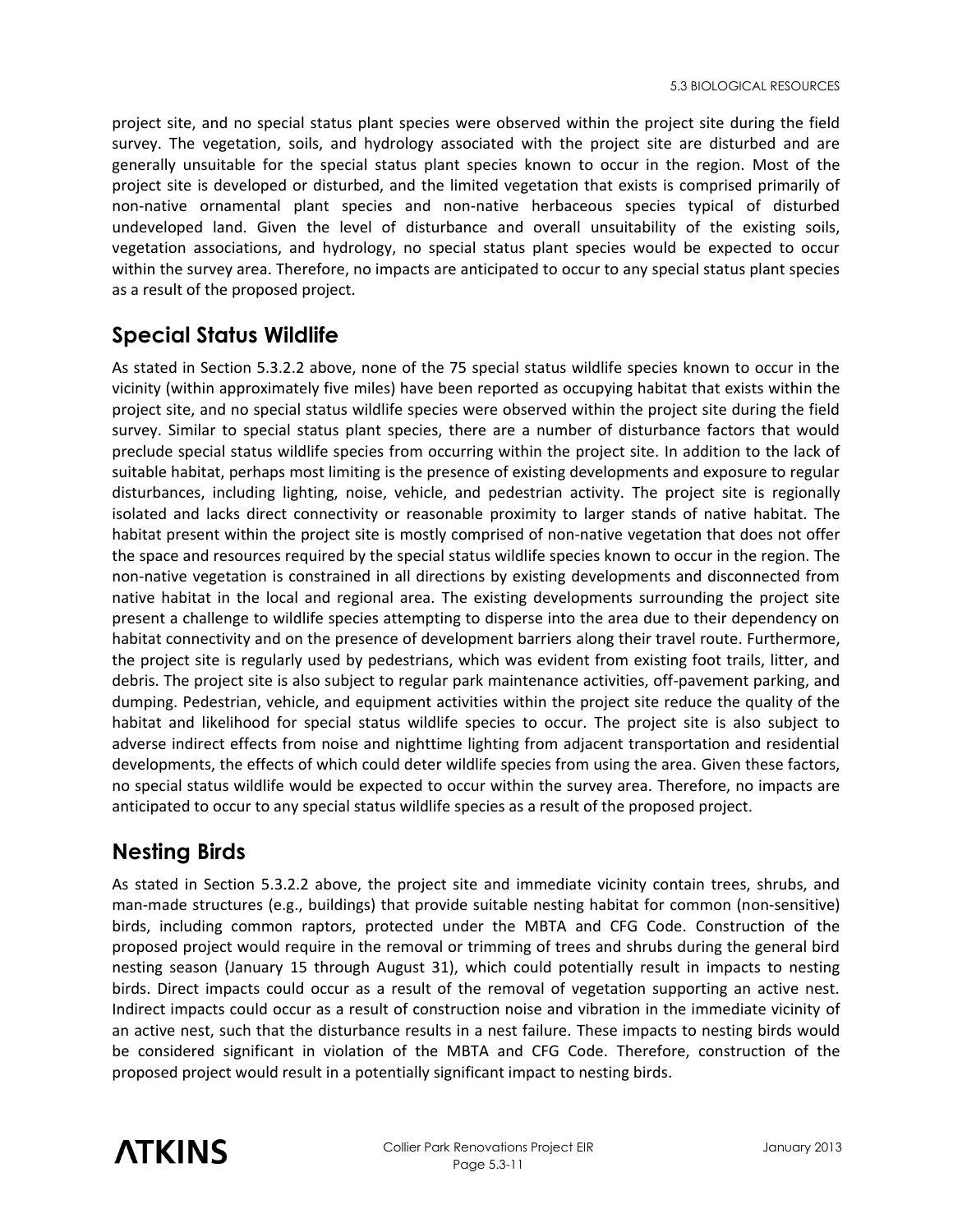project site, and no special status plant species were observed within the project site during the field survey. The vegetation, soils, and hydrology associated with the project site are disturbed and are generally unsuitable for the special status plant species known to occur in the region. Most of the project site is developed or disturbed, and the limited vegetation that exists is comprised primarily of non-native ornamental plant species and non-native herbaceous species typical of disturbed undeveloped land. Given the level of disturbance and overall unsuitability of the existing soils, vegetation associations, and hydrology, no special status plant species would be expected to occur within the survey area. Therefore, no impacts are anticipated to occur to any special status plant species as a result of the proposed project.

## **Special Status Wildlife**

As stated in Section 5.3.2.2 above, none of the 75 special status wildlife species known to occur in the vicinity (within approximately five miles) have been reported as occupying habitat that exists within the project site, and no special status wildlife species were observed within the project site during the field survey. Similar to special status plant species, there are a number of disturbance factors that would preclude special status wildlife species from occurring within the project site. In addition to the lack of suitable habitat, perhaps most limiting is the presence of existing developments and exposure to regular disturbances, including lighting, noise, vehicle, and pedestrian activity. The project site is regionally isolated and lacks direct connectivity or reasonable proximity to larger stands of native habitat. The habitat present within the project site is mostly comprised of non-native vegetation that does not offer the space and resources required by the special status wildlife species known to occur in the region. The non-native vegetation is constrained in all directions by existing developments and disconnected from native habitat in the local and regional area. The existing developments surrounding the project site present a challenge to wildlife species attempting to disperse into the area due to their dependency on habitat connectivity and on the presence of development barriers along their travel route. Furthermore, the project site is regularly used by pedestrians, which was evident from existing foot trails, litter, and debris. The project site is also subject to regular park maintenance activities, off-pavement parking, and dumping. Pedestrian, vehicle, and equipment activities within the project site reduce the quality of the habitat and likelihood for special status wildlife species to occur. The project site is also subject to adverse indirect effects from noise and nighttime lighting from adjacent transportation and residential developments, the effects of which could deter wildlife species from using the area. Given these factors, no special status wildlife would be expected to occur within the survey area. Therefore, no impacts are anticipated to occur to any special status wildlife species as a result of the proposed project.

## **Nesting Birds**

As stated in Section 5.3.2.2 above, the project site and immediate vicinity contain trees, shrubs, and man-made structures (e.g., buildings) that provide suitable nesting habitat for common (non-sensitive) birds, including common raptors, protected under the MBTA and CFG Code. Construction of the proposed project would require in the removal or trimming of trees and shrubs during the general bird nesting season (January 15 through August 31), which could potentially result in impacts to nesting birds. Direct impacts could occur as a result of the removal of vegetation supporting an active nest. Indirect impacts could occur as a result of construction noise and vibration in the immediate vicinity of an active nest, such that the disturbance results in a nest failure. These impacts to nesting birds would be considered significant in violation of the MBTA and CFG Code. Therefore, construction of the proposed project would result in a potentially significant impact to nesting birds.

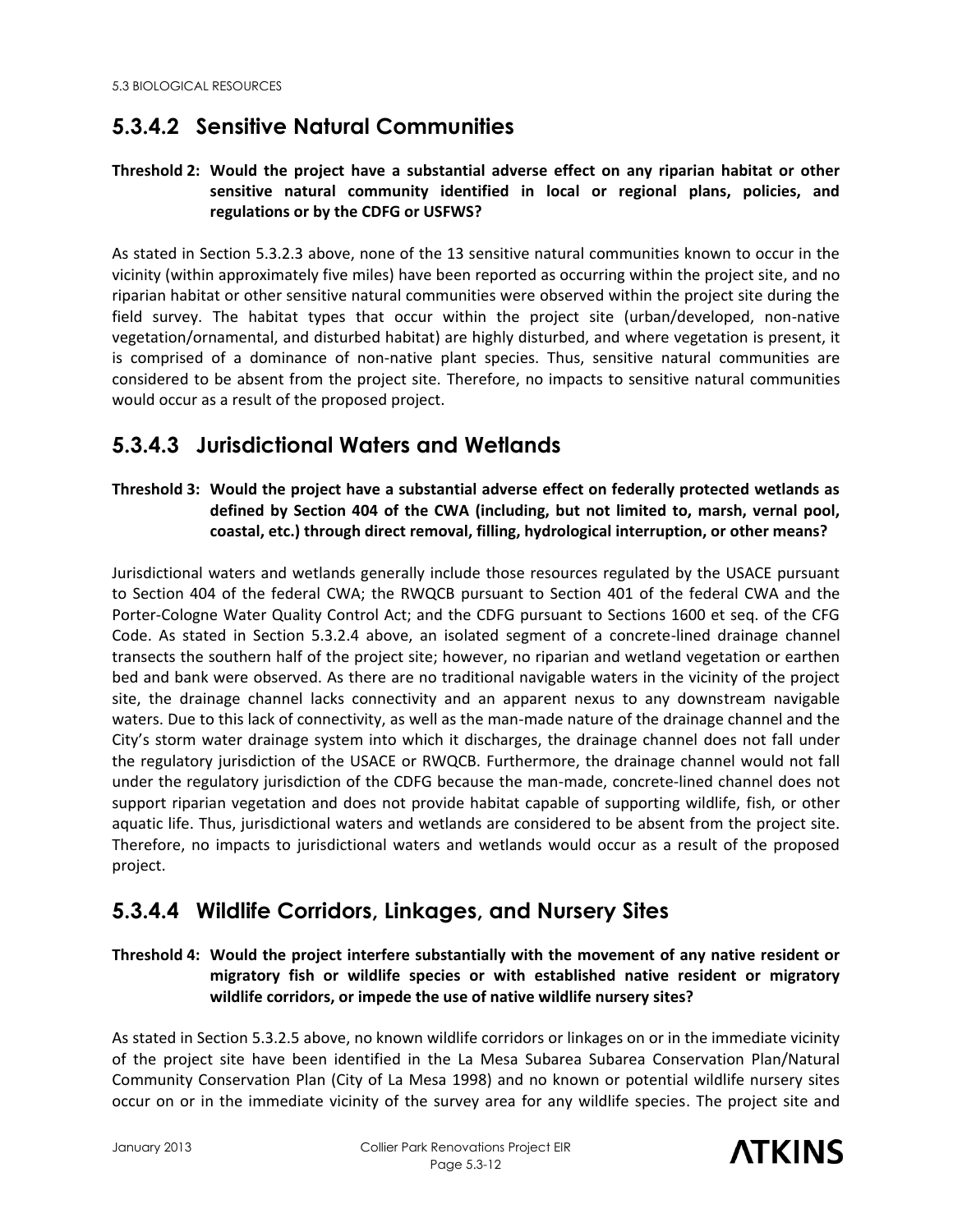## **5.3.4.2 Sensitive Natural Communities**

#### **Threshold 2: Would the project have a substantial adverse effect on any riparian habitat or other sensitive natural community identified in local or regional plans, policies, and regulations or by the CDFG or USFWS?**

As stated in Section 5.3.2.3 above, none of the 13 sensitive natural communities known to occur in the vicinity (within approximately five miles) have been reported as occurring within the project site, and no riparian habitat or other sensitive natural communities were observed within the project site during the field survey. The habitat types that occur within the project site (urban/developed, non-native vegetation/ornamental, and disturbed habitat) are highly disturbed, and where vegetation is present, it is comprised of a dominance of non-native plant species. Thus, sensitive natural communities are considered to be absent from the project site. Therefore, no impacts to sensitive natural communities would occur as a result of the proposed project.

## **5.3.4.3 Jurisdictional Waters and Wetlands**

### **Threshold 3: Would the project have a substantial adverse effect on federally protected wetlands as defined by Section 404 of the CWA (including, but not limited to, marsh, vernal pool, coastal, etc.) through direct removal, filling, hydrological interruption, or other means?**

Jurisdictional waters and wetlands generally include those resources regulated by the USACE pursuant to Section 404 of the federal CWA; the RWQCB pursuant to Section 401 of the federal CWA and the Porter-Cologne Water Quality Control Act; and the CDFG pursuant to Sections 1600 et seq. of the CFG Code. As stated in Section 5.3.2.4 above, an isolated segment of a concrete-lined drainage channel transects the southern half of the project site; however, no riparian and wetland vegetation or earthen bed and bank were observed. As there are no traditional navigable waters in the vicinity of the project site, the drainage channel lacks connectivity and an apparent nexus to any downstream navigable waters. Due to this lack of connectivity, as well as the man-made nature of the drainage channel and the City's storm water drainage system into which it discharges, the drainage channel does not fall under the regulatory jurisdiction of the USACE or RWQCB. Furthermore, the drainage channel would not fall under the regulatory jurisdiction of the CDFG because the man-made, concrete-lined channel does not support riparian vegetation and does not provide habitat capable of supporting wildlife, fish, or other aquatic life. Thus, jurisdictional waters and wetlands are considered to be absent from the project site. Therefore, no impacts to jurisdictional waters and wetlands would occur as a result of the proposed project.

## **5.3.4.4 Wildlife Corridors, Linkages, and Nursery Sites**

### **Threshold 4: Would the project interfere substantially with the movement of any native resident or migratory fish or wildlife species or with established native resident or migratory wildlife corridors, or impede the use of native wildlife nursery sites?**

As stated in Section 5.3.2.5 above, no known wildlife corridors or linkages on or in the immediate vicinity of the project site have been identified in the La Mesa Subarea Subarea Conservation Plan/Natural Community Conservation Plan (City of La Mesa 1998) and no known or potential wildlife nursery sites occur on or in the immediate vicinity of the survey area for any wildlife species. The project site and

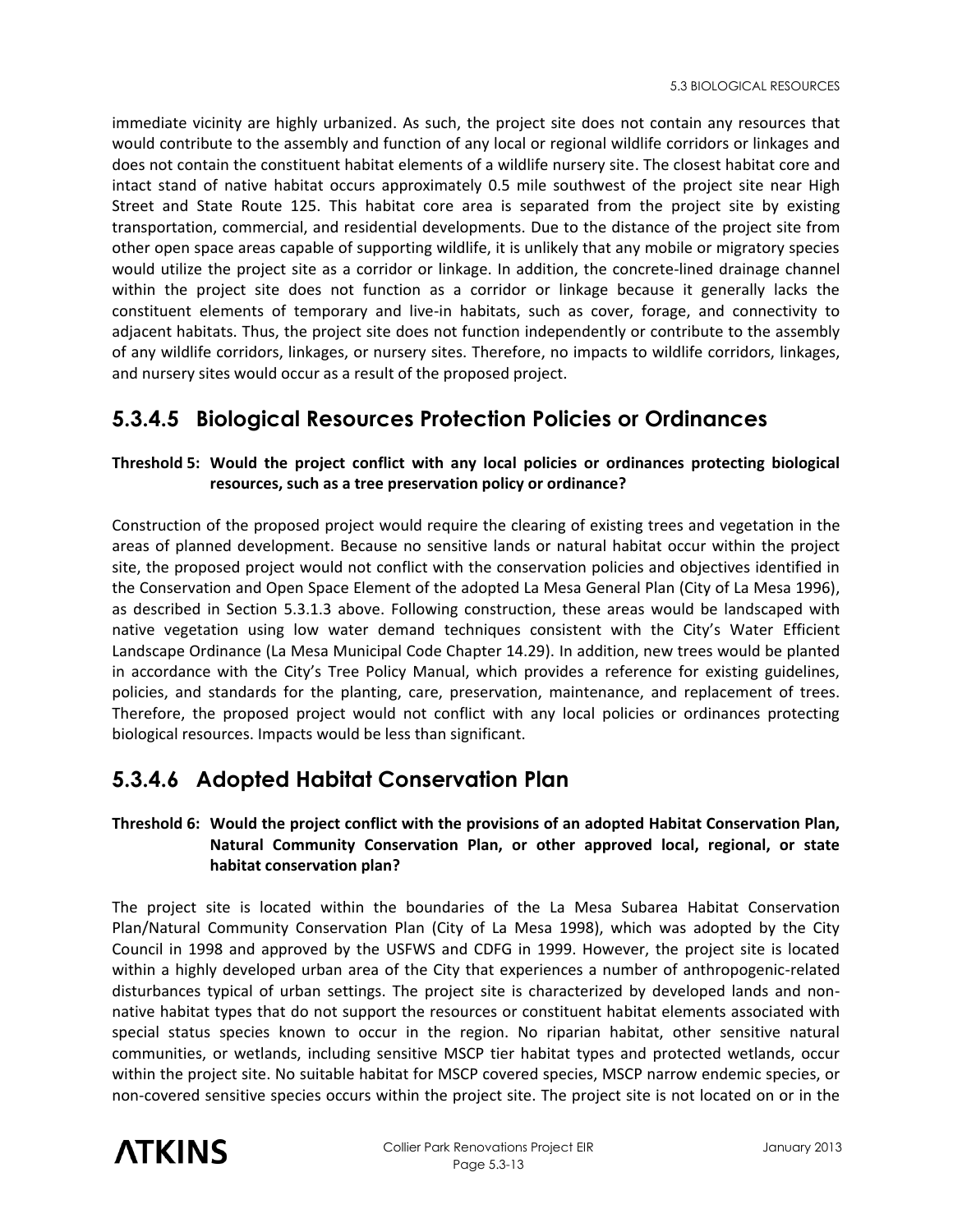immediate vicinity are highly urbanized. As such, the project site does not contain any resources that would contribute to the assembly and function of any local or regional wildlife corridors or linkages and does not contain the constituent habitat elements of a wildlife nursery site. The closest habitat core and intact stand of native habitat occurs approximately 0.5 mile southwest of the project site near High Street and State Route 125. This habitat core area is separated from the project site by existing transportation, commercial, and residential developments. Due to the distance of the project site from other open space areas capable of supporting wildlife, it is unlikely that any mobile or migratory species would utilize the project site as a corridor or linkage. In addition, the concrete-lined drainage channel within the project site does not function as a corridor or linkage because it generally lacks the constituent elements of temporary and live-in habitats, such as cover, forage, and connectivity to adjacent habitats. Thus, the project site does not function independently or contribute to the assembly of any wildlife corridors, linkages, or nursery sites. Therefore, no impacts to wildlife corridors, linkages, and nursery sites would occur as a result of the proposed project.

## **5.3.4.5 Biological Resources Protection Policies or Ordinances**

### **Threshold 5: Would the project conflict with any local policies or ordinances protecting biological resources, such as a tree preservation policy or ordinance?**

Construction of the proposed project would require the clearing of existing trees and vegetation in the areas of planned development. Because no sensitive lands or natural habitat occur within the project site, the proposed project would not conflict with the conservation policies and objectives identified in the Conservation and Open Space Element of the adopted La Mesa General Plan (City of La Mesa 1996), as described in Section 5.3.1.3 above. Following construction, these areas would be landscaped with native vegetation using low water demand techniques consistent with the City's Water Efficient Landscape Ordinance (La Mesa Municipal Code Chapter 14.29). In addition, new trees would be planted in accordance with the City's Tree Policy Manual, which provides a reference for existing guidelines, policies, and standards for the planting, care, preservation, maintenance, and replacement of trees. Therefore, the proposed project would not conflict with any local policies or ordinances protecting biological resources. Impacts would be less than significant.

## **5.3.4.6 Adopted Habitat Conservation Plan**

### **Threshold 6: Would the project conflict with the provisions of an adopted Habitat Conservation Plan, Natural Community Conservation Plan, or other approved local, regional, or state habitat conservation plan?**

The project site is located within the boundaries of the La Mesa Subarea Habitat Conservation Plan/Natural Community Conservation Plan (City of La Mesa 1998), which was adopted by the City Council in 1998 and approved by the USFWS and CDFG in 1999. However, the project site is located within a highly developed urban area of the City that experiences a number of anthropogenic-related disturbances typical of urban settings. The project site is characterized by developed lands and nonnative habitat types that do not support the resources or constituent habitat elements associated with special status species known to occur in the region. No riparian habitat, other sensitive natural communities, or wetlands, including sensitive MSCP tier habitat types and protected wetlands, occur within the project site. No suitable habitat for MSCP covered species, MSCP narrow endemic species, or non-covered sensitive species occurs within the project site. The project site is not located on or in the

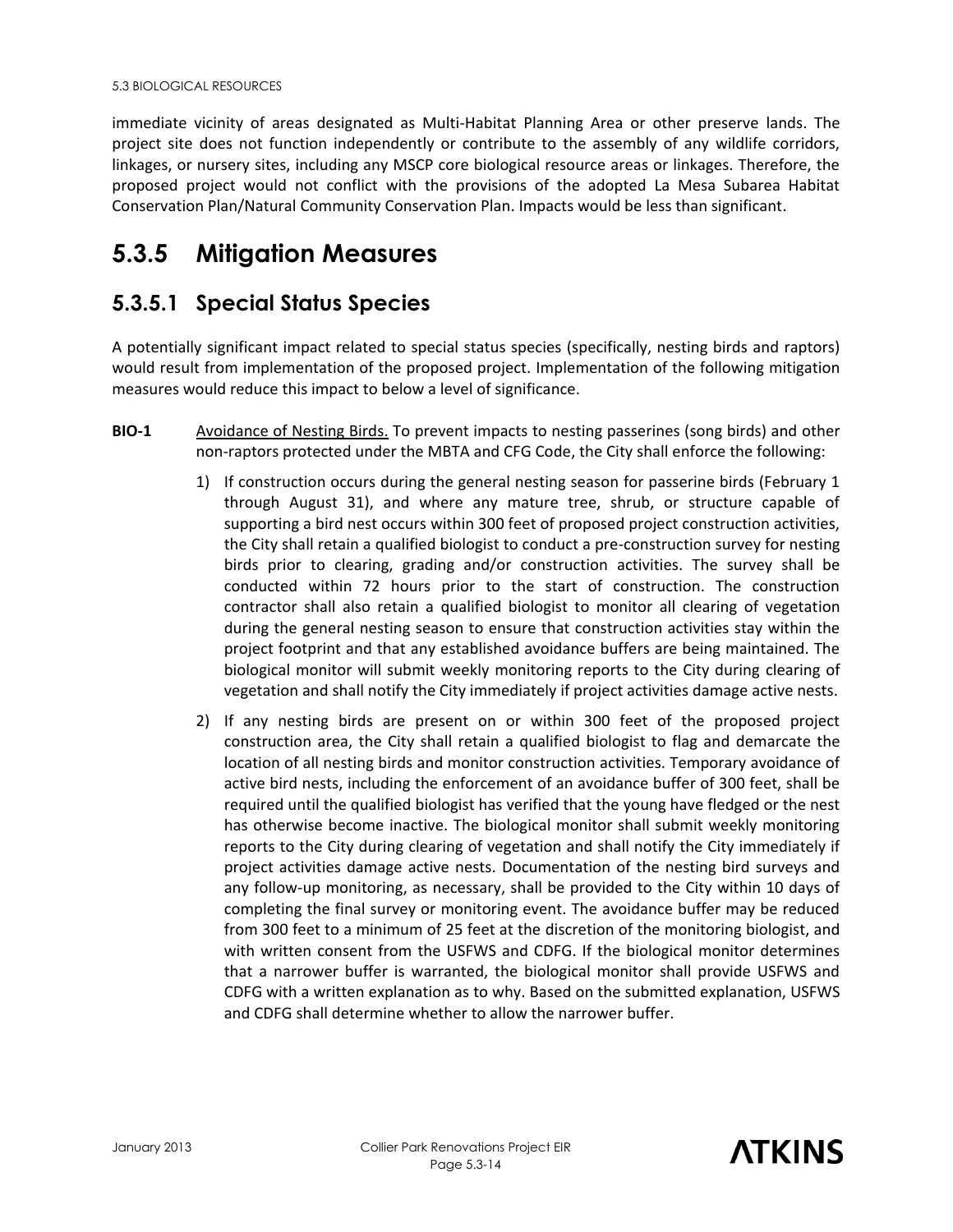immediate vicinity of areas designated as Multi-Habitat Planning Area or other preserve lands. The project site does not function independently or contribute to the assembly of any wildlife corridors, linkages, or nursery sites, including any MSCP core biological resource areas or linkages. Therefore, the proposed project would not conflict with the provisions of the adopted La Mesa Subarea Habitat Conservation Plan/Natural Community Conservation Plan. Impacts would be less than significant.

## **5.3.5 Mitigation Measures**

## **5.3.5.1 Special Status Species**

A potentially significant impact related to special status species (specifically, nesting birds and raptors) would result from implementation of the proposed project. Implementation of the following mitigation measures would reduce this impact to below a level of significance.

- **BIO-1** Avoidance of Nesting Birds. To prevent impacts to nesting passerines (song birds) and other non-raptors protected under the MBTA and CFG Code, the City shall enforce the following:
	- 1) If construction occurs during the general nesting season for passerine birds (February 1 through August 31), and where any mature tree, shrub, or structure capable of supporting a bird nest occurs within 300 feet of proposed project construction activities, the City shall retain a qualified biologist to conduct a pre-construction survey for nesting birds prior to clearing, grading and/or construction activities. The survey shall be conducted within 72 hours prior to the start of construction. The construction contractor shall also retain a qualified biologist to monitor all clearing of vegetation during the general nesting season to ensure that construction activities stay within the project footprint and that any established avoidance buffers are being maintained. The biological monitor will submit weekly monitoring reports to the City during clearing of vegetation and shall notify the City immediately if project activities damage active nests.
	- 2) If any nesting birds are present on or within 300 feet of the proposed project construction area, the City shall retain a qualified biologist to flag and demarcate the location of all nesting birds and monitor construction activities. Temporary avoidance of active bird nests, including the enforcement of an avoidance buffer of 300 feet, shall be required until the qualified biologist has verified that the young have fledged or the nest has otherwise become inactive. The biological monitor shall submit weekly monitoring reports to the City during clearing of vegetation and shall notify the City immediately if project activities damage active nests. Documentation of the nesting bird surveys and any follow-up monitoring, as necessary, shall be provided to the City within 10 days of completing the final survey or monitoring event. The avoidance buffer may be reduced from 300 feet to a minimum of 25 feet at the discretion of the monitoring biologist, and with written consent from the USFWS and CDFG. If the biological monitor determines that a narrower buffer is warranted, the biological monitor shall provide USFWS and CDFG with a written explanation as to why. Based on the submitted explanation, USFWS and CDFG shall determine whether to allow the narrower buffer.

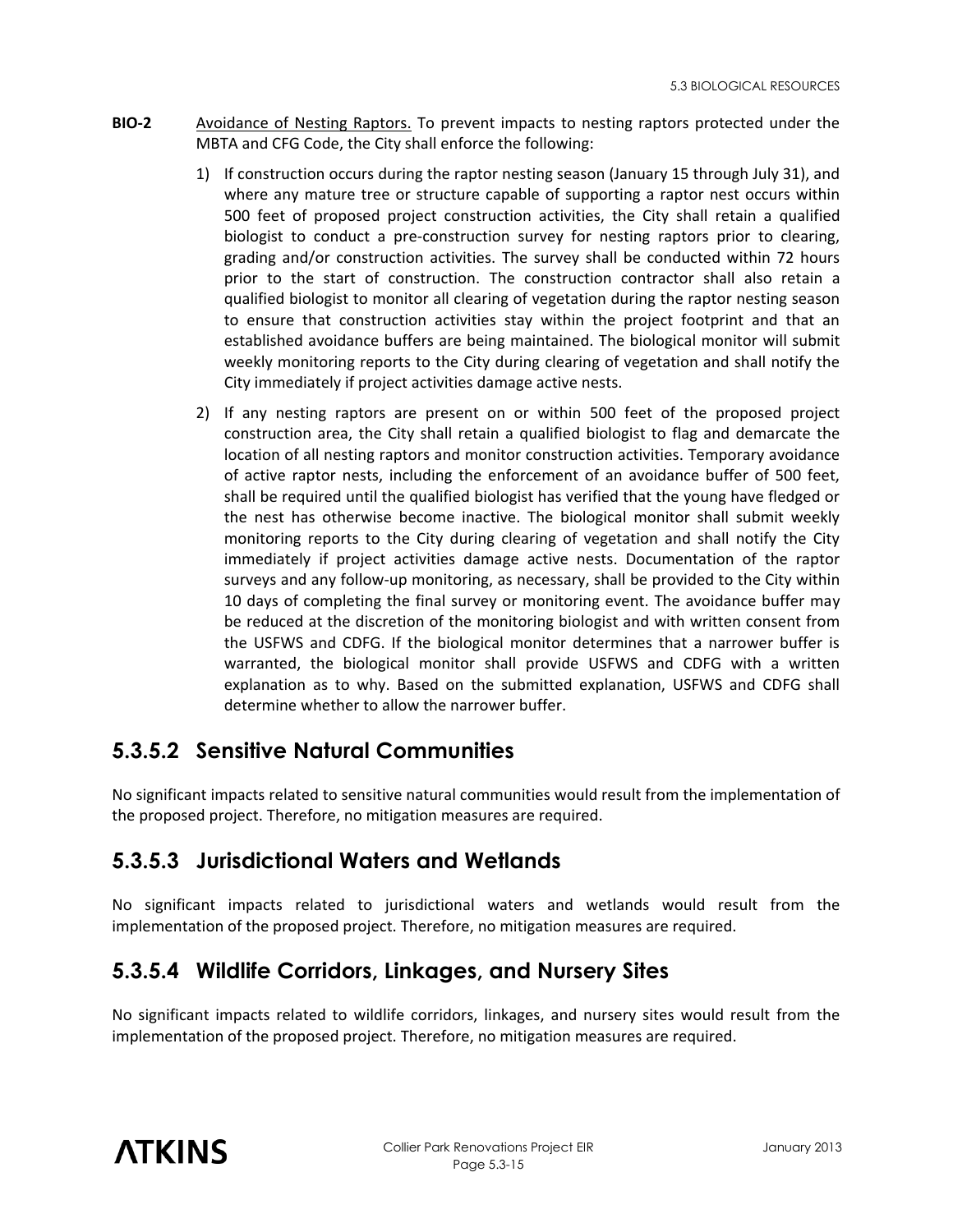- **BIO-2** Avoidance of Nesting Raptors. To prevent impacts to nesting raptors protected under the MBTA and CFG Code, the City shall enforce the following:
	- 1) If construction occurs during the raptor nesting season (January 15 through July 31), and where any mature tree or structure capable of supporting a raptor nest occurs within 500 feet of proposed project construction activities, the City shall retain a qualified biologist to conduct a pre-construction survey for nesting raptors prior to clearing, grading and/or construction activities. The survey shall be conducted within 72 hours prior to the start of construction. The construction contractor shall also retain a qualified biologist to monitor all clearing of vegetation during the raptor nesting season to ensure that construction activities stay within the project footprint and that an established avoidance buffers are being maintained. The biological monitor will submit weekly monitoring reports to the City during clearing of vegetation and shall notify the City immediately if project activities damage active nests.
	- 2) If any nesting raptors are present on or within 500 feet of the proposed project construction area, the City shall retain a qualified biologist to flag and demarcate the location of all nesting raptors and monitor construction activities. Temporary avoidance of active raptor nests, including the enforcement of an avoidance buffer of 500 feet, shall be required until the qualified biologist has verified that the young have fledged or the nest has otherwise become inactive. The biological monitor shall submit weekly monitoring reports to the City during clearing of vegetation and shall notify the City immediately if project activities damage active nests. Documentation of the raptor surveys and any follow-up monitoring, as necessary, shall be provided to the City within 10 days of completing the final survey or monitoring event. The avoidance buffer may be reduced at the discretion of the monitoring biologist and with written consent from the USFWS and CDFG. If the biological monitor determines that a narrower buffer is warranted, the biological monitor shall provide USFWS and CDFG with a written explanation as to why. Based on the submitted explanation, USFWS and CDFG shall determine whether to allow the narrower buffer.

## **5.3.5.2 Sensitive Natural Communities**

No significant impacts related to sensitive natural communities would result from the implementation of the proposed project. Therefore, no mitigation measures are required.

## **5.3.5.3 Jurisdictional Waters and Wetlands**

No significant impacts related to jurisdictional waters and wetlands would result from the implementation of the proposed project. Therefore, no mitigation measures are required.

## **5.3.5.4 Wildlife Corridors, Linkages, and Nursery Sites**

No significant impacts related to wildlife corridors, linkages, and nursery sites would result from the implementation of the proposed project. Therefore, no mitigation measures are required.